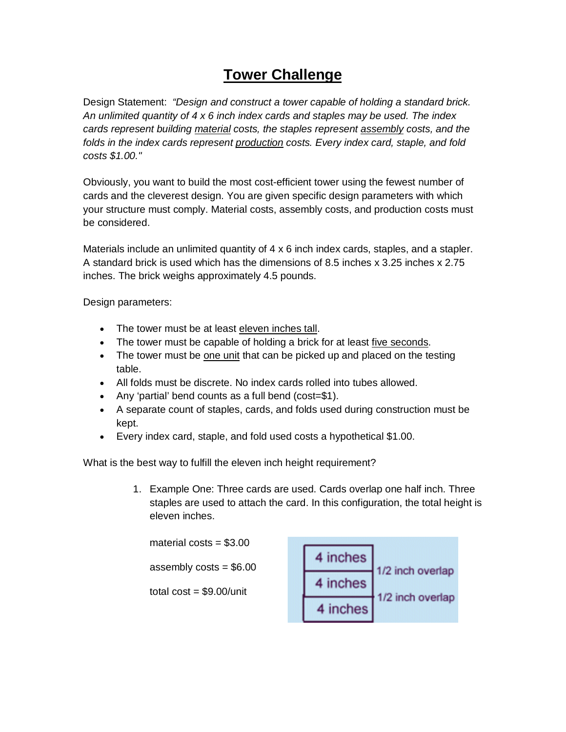## **Tower Challenge**

Design Statement: *"Design and construct a tower capable of holding a standard brick. An unlimited quantity of 4 x 6 inch index cards and staples may be used. The index cards represent building material costs, the staples represent assembly costs, and the folds in the index cards represent production costs. Every index card, staple, and fold costs \$1.00."* 

Obviously, you want to build the most cost-efficient tower using the fewest number of cards and the cleverest design. You are given specific design parameters with which your structure must comply. Material costs, assembly costs, and production costs must be considered.

Materials include an unlimited quantity of 4 x 6 inch index cards, staples, and a stapler. A standard brick is used which has the dimensions of 8.5 inches x 3.25 inches x 2.75 inches. The brick weighs approximately 4.5 pounds.

Design parameters:

- The tower must be at least eleven inches tall.
- The tower must be capable of holding a brick for at least five seconds.
- The tower must be one unit that can be picked up and placed on the testing table.
- All folds must be discrete. No index cards rolled into tubes allowed.
- Any 'partial' bend counts as a full bend (cost=\$1).
- A separate count of staples, cards, and folds used during construction must be kept.
- Every index card, staple, and fold used costs a hypothetical \$1.00.

What is the best way to fulfill the eleven inch height requirement?

1. Example One: Three cards are used. Cards overlap one half inch. Three staples are used to attach the card. In this configuration, the total height is eleven inches.

material  $costs = $3.00$ 4 inches assembly  $costs = $6.00$ 4 inches total  $cost = $9.00/unit$ 4 inches